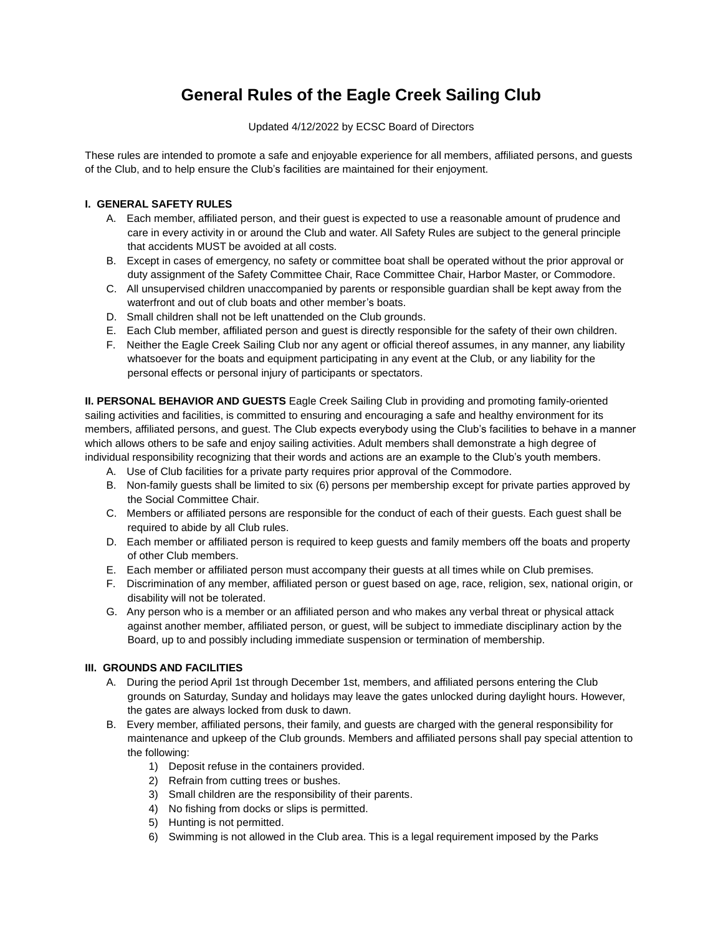# **General Rules of the Eagle Creek Sailing Club**

#### Updated 4/12/2022 by ECSC Board of Directors

These rules are intended to promote a safe and enjoyable experience for all members, affiliated persons, and guests of the Club, and to help ensure the Club's facilities are maintained for their enjoyment.

## **I. GENERAL SAFETY RULES**

- A. Each member, affiliated person, and their guest is expected to use a reasonable amount of prudence and care in every activity in or around the Club and water. All Safety Rules are subject to the general principle that accidents MUST be avoided at all costs.
- B. Except in cases of emergency, no safety or committee boat shall be operated without the prior approval or duty assignment of the Safety Committee Chair, Race Committee Chair, Harbor Master, or Commodore.
- C. All unsupervised children unaccompanied by parents or responsible guardian shall be kept away from the waterfront and out of club boats and other member's boats.
- D. Small children shall not be left unattended on the Club grounds.
- E. Each Club member, affiliated person and guest is directly responsible for the safety of their own children.
- F. Neither the Eagle Creek Sailing Club nor any agent or official thereof assumes, in any manner, any liability whatsoever for the boats and equipment participating in any event at the Club, or any liability for the personal effects or personal injury of participants or spectators.

**II. PERSONAL BEHAVIOR AND GUESTS** Eagle Creek Sailing Club in providing and promoting family-oriented sailing activities and facilities, is committed to ensuring and encouraging a safe and healthy environment for its members, affiliated persons, and guest. The Club expects everybody using the Club's facilities to behave in a manner which allows others to be safe and enjoy sailing activities. Adult members shall demonstrate a high degree of individual responsibility recognizing that their words and actions are an example to the Club's youth members.

- A. Use of Club facilities for a private party requires prior approval of the Commodore.
- B. Non-family guests shall be limited to six (6) persons per membership except for private parties approved by the Social Committee Chair.
- C. Members or affiliated persons are responsible for the conduct of each of their guests. Each guest shall be required to abide by all Club rules.
- D. Each member or affiliated person is required to keep guests and family members off the boats and property of other Club members.
- E. Each member or affiliated person must accompany their guests at all times while on Club premises.
- F. Discrimination of any member, affiliated person or guest based on age, race, religion, sex, national origin, or disability will not be tolerated.
- G. Any person who is a member or an affiliated person and who makes any verbal threat or physical attack against another member, affiliated person, or guest, will be subject to immediate disciplinary action by the Board, up to and possibly including immediate suspension or termination of membership.

## **III. GROUNDS AND FACILITIES**

- A. During the period April 1st through December 1st, members, and affiliated persons entering the Club grounds on Saturday, Sunday and holidays may leave the gates unlocked during daylight hours. However, the gates are always locked from dusk to dawn.
- B. Every member, affiliated persons, their family, and guests are charged with the general responsibility for maintenance and upkeep of the Club grounds. Members and affiliated persons shall pay special attention to the following:
	- 1) Deposit refuse in the containers provided.
	- 2) Refrain from cutting trees or bushes.
	- 3) Small children are the responsibility of their parents.
	- 4) No fishing from docks or slips is permitted.
	- 5) Hunting is not permitted.
	- 6) Swimming is not allowed in the Club area. This is a legal requirement imposed by the Parks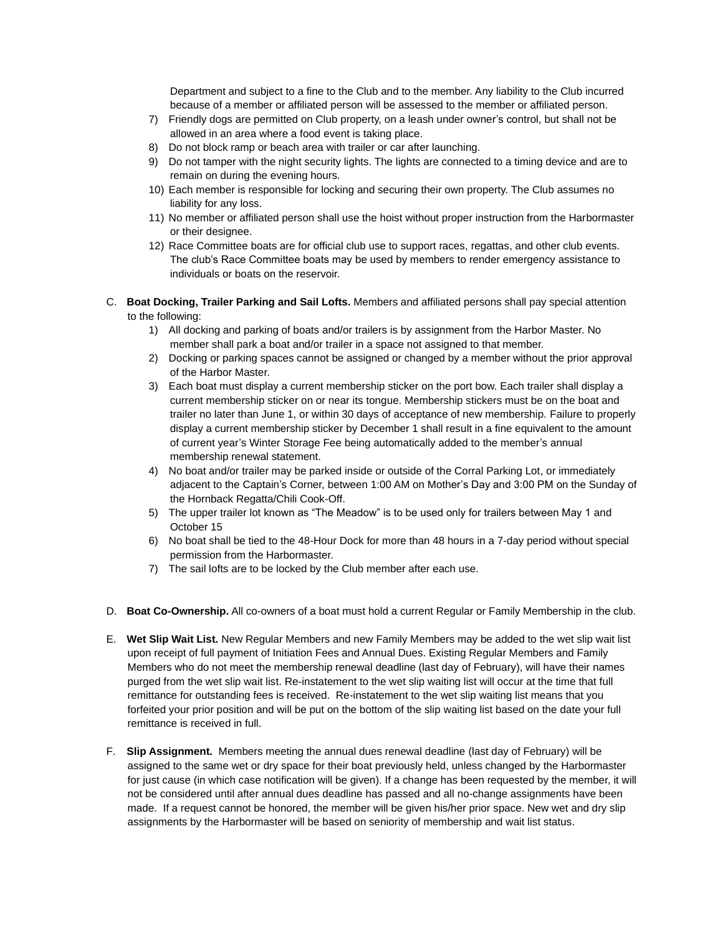Department and subject to a fine to the Club and to the member. Any liability to the Club incurred because of a member or affiliated person will be assessed to the member or affiliated person.

- 7) Friendly dogs are permitted on Club property, on a leash under owner's control, but shall not be allowed in an area where a food event is taking place.
- 8) Do not block ramp or beach area with trailer or car after launching.
- 9) Do not tamper with the night security lights. The lights are connected to a timing device and are to remain on during the evening hours.
- 10) Each member is responsible for locking and securing their own property. The Club assumes no liability for any loss.
- 11) No member or affiliated person shall use the hoist without proper instruction from the Harbormaster or their designee.
- 12) Race Committee boats are for official club use to support races, regattas, and other club events. The club's Race Committee boats may be used by members to render emergency assistance to individuals or boats on the reservoir.
- C. **Boat Docking, Trailer Parking and Sail Lofts.** Members and affiliated persons shall pay special attention to the following:
	- 1) All docking and parking of boats and/or trailers is by assignment from the Harbor Master. No member shall park a boat and/or trailer in a space not assigned to that member.
	- 2) Docking or parking spaces cannot be assigned or changed by a member without the prior approval of the Harbor Master.
	- 3) Each boat must display a current membership sticker on the port bow. Each trailer shall display a current membership sticker on or near its tongue. Membership stickers must be on the boat and trailer no later than June 1, or within 30 days of acceptance of new membership. Failure to properly display a current membership sticker by December 1 shall result in a fine equivalent to the amount of current year's Winter Storage Fee being automatically added to the member's annual membership renewal statement.
	- 4) No boat and/or trailer may be parked inside or outside of the Corral Parking Lot, or immediately adjacent to the Captain's Corner, between 1:00 AM on Mother's Day and 3:00 PM on the Sunday of the Hornback Regatta/Chili Cook-Off.
	- 5) The upper trailer lot known as "The Meadow" is to be used only for trailers between May 1 and October 15
	- 6) No boat shall be tied to the 48-Hour Dock for more than 48 hours in a 7-day period without special permission from the Harbormaster.
	- 7) The sail lofts are to be locked by the Club member after each use.
- D. **Boat Co-Ownership.** All co-owners of a boat must hold a current Regular or Family Membership in the club.
- E. **Wet Slip Wait List.** New Regular Members and new Family Members may be added to the wet slip wait list upon receipt of full payment of Initiation Fees and Annual Dues. Existing Regular Members and Family Members who do not meet the membership renewal deadline (last day of February), will have their names purged from the wet slip wait list. Re-instatement to the wet slip waiting list will occur at the time that full remittance for outstanding fees is received. Re-instatement to the wet slip waiting list means that you forfeited your prior position and will be put on the bottom of the slip waiting list based on the date your full remittance is received in full.
- F. **Slip Assignment.** Members meeting the annual dues renewal deadline (last day of February) will be assigned to the same wet or dry space for their boat previously held, unless changed by the Harbormaster for just cause (in which case notification will be given). If a change has been requested by the member, it will not be considered until after annual dues deadline has passed and all no-change assignments have been made. If a request cannot be honored, the member will be given his/her prior space. New wet and dry slip assignments by the Harbormaster will be based on seniority of membership and wait list status.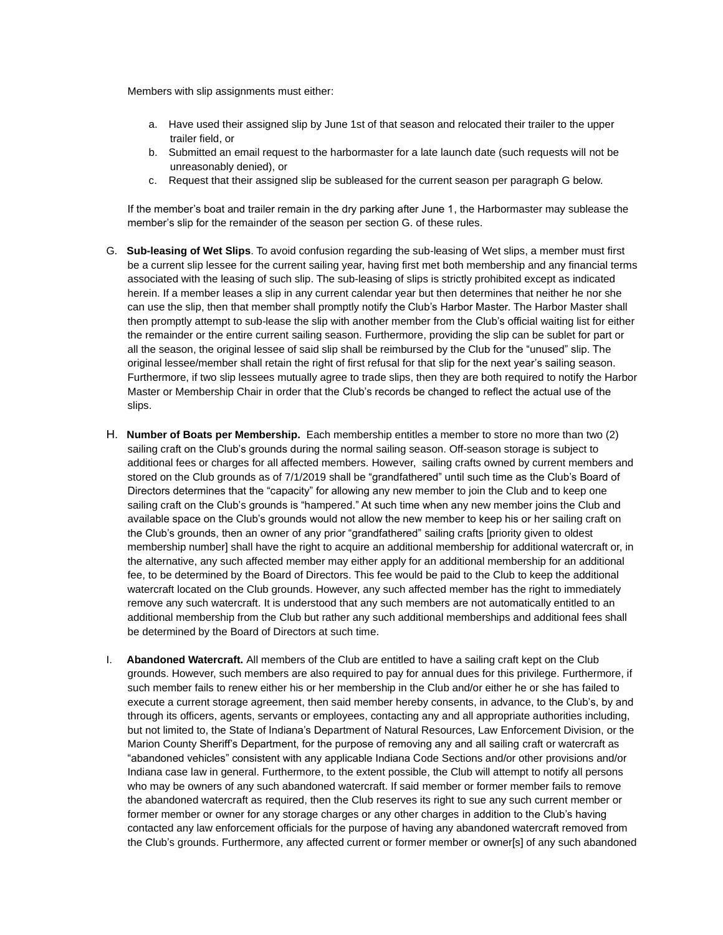Members with slip assignments must either:

- a. Have used their assigned slip by June 1st of that season and relocated their trailer to the upper trailer field, or
- b. Submitted an email request to the harbormaster for a late launch date (such requests will not be unreasonably denied), or
- c. Request that their assigned slip be subleased for the current season per paragraph G below.

If the member's boat and trailer remain in the dry parking after June 1, the Harbormaster may sublease the member's slip for the remainder of the season per section G. of these rules.

- G. **Sub-leasing of Wet Slips**. To avoid confusion regarding the sub-leasing of Wet slips, a member must first be a current slip lessee for the current sailing year, having first met both membership and any financial terms associated with the leasing of such slip. The sub-leasing of slips is strictly prohibited except as indicated herein. If a member leases a slip in any current calendar year but then determines that neither he nor she can use the slip, then that member shall promptly notify the Club's Harbor Master. The Harbor Master shall then promptly attempt to sub-lease the slip with another member from the Club's official waiting list for either the remainder or the entire current sailing season. Furthermore, providing the slip can be sublet for part or all the season, the original lessee of said slip shall be reimbursed by the Club for the "unused" slip. The original lessee/member shall retain the right of first refusal for that slip for the next year's sailing season. Furthermore, if two slip lessees mutually agree to trade slips, then they are both required to notify the Harbor Master or Membership Chair in order that the Club's records be changed to reflect the actual use of the slips.
- H. **Number of Boats per Membership.** Each membership entitles a member to store no more than two (2) sailing craft on the Club's grounds during the normal sailing season. Off-season storage is subject to additional fees or charges for all affected members. However, sailing crafts owned by current members and stored on the Club grounds as of 7/1/2019 shall be "grandfathered" until such time as the Club's Board of Directors determines that the "capacity" for allowing any new member to join the Club and to keep one sailing craft on the Club's grounds is "hampered." At such time when any new member joins the Club and available space on the Club's grounds would not allow the new member to keep his or her sailing craft on the Club's grounds, then an owner of any prior "grandfathered" sailing crafts [priority given to oldest membership number] shall have the right to acquire an additional membership for additional watercraft or, in the alternative, any such affected member may either apply for an additional membership for an additional fee, to be determined by the Board of Directors. This fee would be paid to the Club to keep the additional watercraft located on the Club grounds. However, any such affected member has the right to immediately remove any such watercraft. It is understood that any such members are not automatically entitled to an additional membership from the Club but rather any such additional memberships and additional fees shall be determined by the Board of Directors at such time.
- I. **Abandoned Watercraft.** All members of the Club are entitled to have a sailing craft kept on the Club grounds. However, such members are also required to pay for annual dues for this privilege. Furthermore, if such member fails to renew either his or her membership in the Club and/or either he or she has failed to execute a current storage agreement, then said member hereby consents, in advance, to the Club's, by and through its officers, agents, servants or employees, contacting any and all appropriate authorities including, but not limited to, the State of Indiana's Department of Natural Resources, Law Enforcement Division, or the Marion County Sheriff's Department, for the purpose of removing any and all sailing craft or watercraft as "abandoned vehicles" consistent with any applicable Indiana Code Sections and/or other provisions and/or Indiana case law in general. Furthermore, to the extent possible, the Club will attempt to notify all persons who may be owners of any such abandoned watercraft. If said member or former member fails to remove the abandoned watercraft as required, then the Club reserves its right to sue any such current member or former member or owner for any storage charges or any other charges in addition to the Club's having contacted any law enforcement officials for the purpose of having any abandoned watercraft removed from the Club's grounds. Furthermore, any affected current or former member or owner[s] of any such abandoned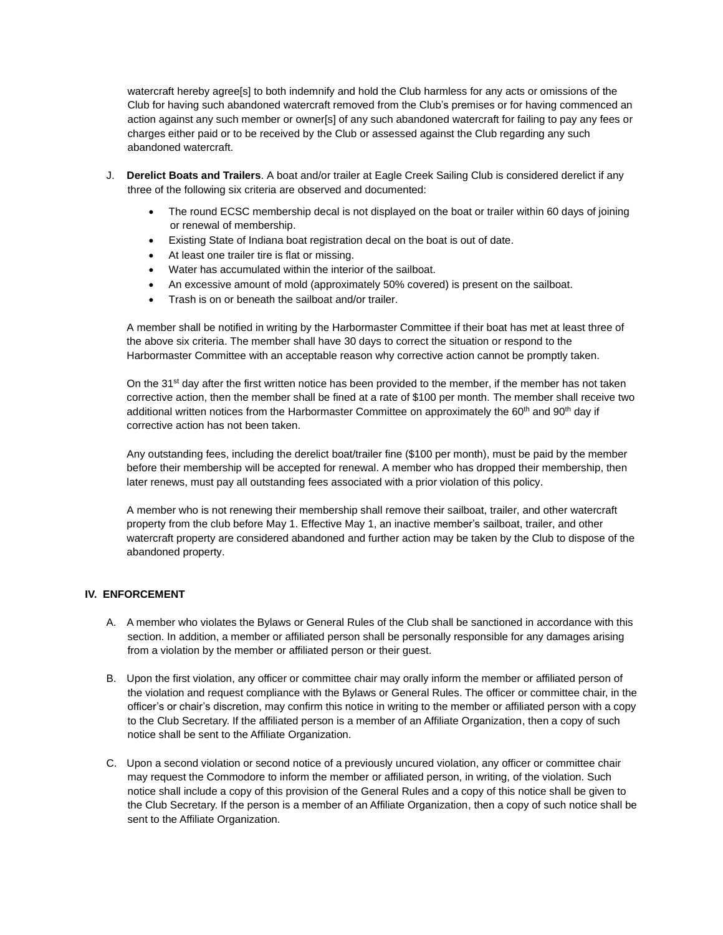watercraft hereby agree[s] to both indemnify and hold the Club harmless for any acts or omissions of the Club for having such abandoned watercraft removed from the Club's premises or for having commenced an action against any such member or owner[s] of any such abandoned watercraft for failing to pay any fees or charges either paid or to be received by the Club or assessed against the Club regarding any such abandoned watercraft.

- J. **Derelict Boats and Trailers**. A boat and/or trailer at Eagle Creek Sailing Club is considered derelict if any three of the following six criteria are observed and documented:
	- The round ECSC membership decal is not displayed on the boat or trailer within 60 days of joining or renewal of membership.
	- Existing State of Indiana boat registration decal on the boat is out of date.
	- At least one trailer tire is flat or missing.
	- Water has accumulated within the interior of the sailboat.
	- An excessive amount of mold (approximately 50% covered) is present on the sailboat.
	- Trash is on or beneath the sailboat and/or trailer.

A member shall be notified in writing by the Harbormaster Committee if their boat has met at least three of the above six criteria. The member shall have 30 days to correct the situation or respond to the Harbormaster Committee with an acceptable reason why corrective action cannot be promptly taken.

On the 31<sup>st</sup> day after the first written notice has been provided to the member, if the member has not taken corrective action, then the member shall be fined at a rate of \$100 per month. The member shall receive two additional written notices from the Harbormaster Committee on approximately the 60<sup>th</sup> and 90<sup>th</sup> day if corrective action has not been taken.

Any outstanding fees, including the derelict boat/trailer fine (\$100 per month), must be paid by the member before their membership will be accepted for renewal. A member who has dropped their membership, then later renews, must pay all outstanding fees associated with a prior violation of this policy.

A member who is not renewing their membership shall remove their sailboat, trailer, and other watercraft property from the club before May 1. Effective May 1, an inactive member's sailboat, trailer, and other watercraft property are considered abandoned and further action may be taken by the Club to dispose of the abandoned property.

## **IV. ENFORCEMENT**

- A. A member who violates the Bylaws or General Rules of the Club shall be sanctioned in accordance with this section. In addition, a member or affiliated person shall be personally responsible for any damages arising from a violation by the member or affiliated person or their guest.
- B. Upon the first violation, any officer or committee chair may orally inform the member or affiliated person of the violation and request compliance with the Bylaws or General Rules. The officer or committee chair, in the officer's or chair's discretion, may confirm this notice in writing to the member or affiliated person with a copy to the Club Secretary. If the affiliated person is a member of an Affiliate Organization, then a copy of such notice shall be sent to the Affiliate Organization.
- C. Upon a second violation or second notice of a previously uncured violation, any officer or committee chair may request the Commodore to inform the member or affiliated person, in writing, of the violation. Such notice shall include a copy of this provision of the General Rules and a copy of this notice shall be given to the Club Secretary. If the person is a member of an Affiliate Organization, then a copy of such notice shall be sent to the Affiliate Organization.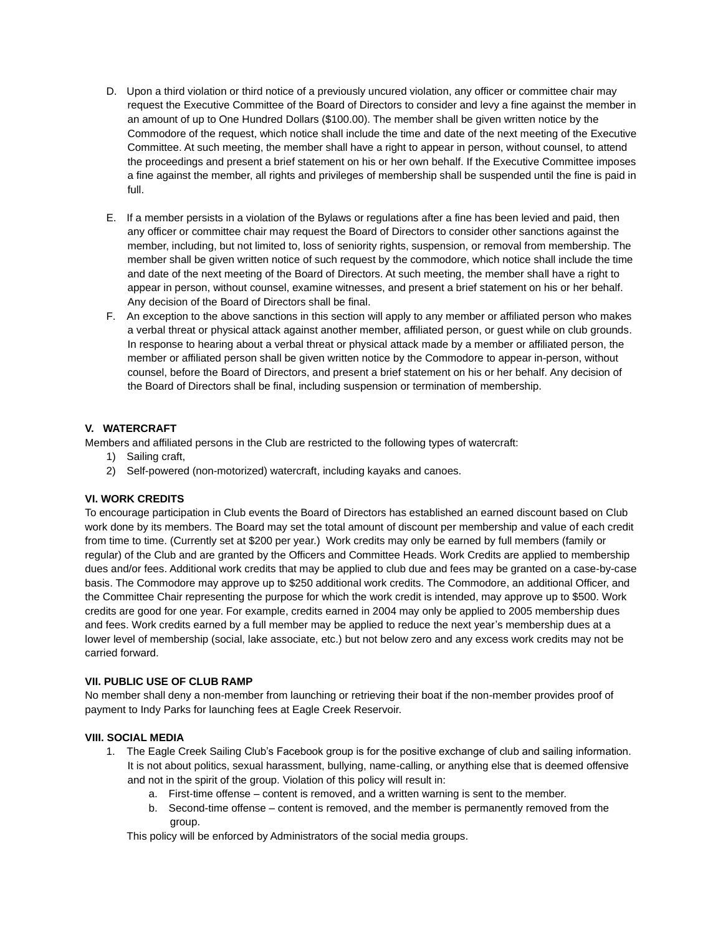- D. Upon a third violation or third notice of a previously uncured violation, any officer or committee chair may request the Executive Committee of the Board of Directors to consider and levy a fine against the member in an amount of up to One Hundred Dollars (\$100.00). The member shall be given written notice by the Commodore of the request, which notice shall include the time and date of the next meeting of the Executive Committee. At such meeting, the member shall have a right to appear in person, without counsel, to attend the proceedings and present a brief statement on his or her own behalf. If the Executive Committee imposes a fine against the member, all rights and privileges of membership shall be suspended until the fine is paid in full.
- E. If a member persists in a violation of the Bylaws or regulations after a fine has been levied and paid, then any officer or committee chair may request the Board of Directors to consider other sanctions against the member, including, but not limited to, loss of seniority rights, suspension, or removal from membership. The member shall be given written notice of such request by the commodore, which notice shall include the time and date of the next meeting of the Board of Directors. At such meeting, the member shall have a right to appear in person, without counsel, examine witnesses, and present a brief statement on his or her behalf. Any decision of the Board of Directors shall be final.
- F. An exception to the above sanctions in this section will apply to any member or affiliated person who makes a verbal threat or physical attack against another member, affiliated person, or guest while on club grounds. In response to hearing about a verbal threat or physical attack made by a member or affiliated person, the member or affiliated person shall be given written notice by the Commodore to appear in-person, without counsel, before the Board of Directors, and present a brief statement on his or her behalf. Any decision of the Board of Directors shall be final, including suspension or termination of membership.

## **V. WATERCRAFT**

Members and affiliated persons in the Club are restricted to the following types of watercraft:

- 1) Sailing craft,
- 2) Self-powered (non-motorized) watercraft, including kayaks and canoes.

#### **VI. WORK CREDITS**

To encourage participation in Club events the Board of Directors has established an earned discount based on Club work done by its members. The Board may set the total amount of discount per membership and value of each credit from time to time. (Currently set at \$200 per year.) Work credits may only be earned by full members (family or regular) of the Club and are granted by the Officers and Committee Heads. Work Credits are applied to membership dues and/or fees. Additional work credits that may be applied to club due and fees may be granted on a case-by-case basis. The Commodore may approve up to \$250 additional work credits. The Commodore, an additional Officer, and the Committee Chair representing the purpose for which the work credit is intended, may approve up to \$500. Work credits are good for one year. For example, credits earned in 2004 may only be applied to 2005 membership dues and fees. Work credits earned by a full member may be applied to reduce the next year's membership dues at a lower level of membership (social, lake associate, etc.) but not below zero and any excess work credits may not be carried forward.

## **VII. PUBLIC USE OF CLUB RAMP**

No member shall deny a non-member from launching or retrieving their boat if the non-member provides proof of payment to Indy Parks for launching fees at Eagle Creek Reservoir.

#### **VIII. SOCIAL MEDIA**

- 1. The Eagle Creek Sailing Club's Facebook group is for the positive exchange of club and sailing information. It is not about politics, sexual harassment, bullying, name-calling, or anything else that is deemed offensive and not in the spirit of the group. Violation of this policy will result in:
	- a. First-time offense content is removed, and a written warning is sent to the member.
	- b. Second-time offense content is removed, and the member is permanently removed from the group.

This policy will be enforced by Administrators of the social media groups.